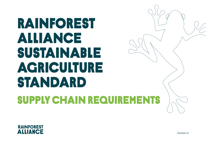## RAINFOREST ALLIANCE sUSTAINABLE AGRICULTURE STANDARD supply chain REQUIREMENTS



Version 11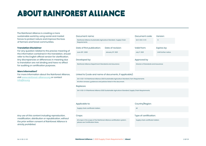## about rainforestalliance

The Rainforest Alliance is creating a more sustainable world by using social and market forces to protect nature and improve the lives of farmers and forest communities.

#### **Translation Disclaimer**

For any question related to the precise meaning of the information contained in the translation, should refer to the English official version for clarification. Any discrepancies or differences in meaning due to translation are not binding and have no effect for auditing or certification purposes.

#### **More information?**

For more information about the Rainforest Alliance, visit www.rainforest-alliance.org or contact info@ra.org

### Date of first publication: Document name: Date of revision: Developed by: Approved by June 30th, 2020 Rainforest Alliance Sustainable Agriculture Standard, Supply Chain Requirements January 31st, 2021

Rainforest Alliance Department Standards and Assurance Director of Standards and Assurance

### Linked to (code and name of documents, if applicable):

SA-S-SD-1-V1.1 Rainforest Alliance 2020 Sustainable Agriculture Standard, Farm Requirements

All other annexes, guidances and policies listed in this document.

#### Replaces:

SA-S-SD-2-V1 Rainforest Alliance 2020 Sustainable Agriculture Standard, Supply Chain Requirements

Supply chain certificate holders All and the state of the state of the state of the state of the state of the state of the state of the state of the state of the state of the state of the state of the state of the state of

All crops in the scope of the Rainforest Alliance certification system; please see Certification Rules.

#### Applicable to: Country/Region:

Document code:

Version:

1.1

Expires by:

Until further notice

Valid from:

July 1st, 2021

SA-S-SD-2-V1.1

#### Crops: Type of certification:

Supply chain certificate holders

#### *Any use of this content including reproduction, modification, distribution or republication, without the prior written consent of Rainforest Alliance is strictly prohibited.*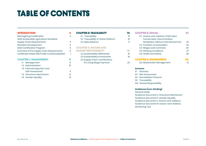### **TABLE OF CONTENTS**

#### introduction 4

| Reimagining Certification                         |   |
|---------------------------------------------------|---|
| 2020 Sustainable Agriculture Standard:            |   |
| Supply Chain Requirements                         | 4 |
| <b>Standard Development</b>                       | 4 |
| 2020 Certification Program                        | 5 |
| Overview of the Supply Chain Requirements         | 6 |
| Certificate Holder Risk Profile Contextualization |   |

#### CHAPTER 1: MANAGEMENT 8

| 1.1 Management              | я  |
|-----------------------------|----|
| 1.2 Administration          | חו |
| 1.4 Internal Inspection and |    |
| Self-Assessment             | 11 |
| 1.5 Grievance Mechanism     | 12 |
| 1.6 Gender Equality         | 13 |

#### Chapter 2: Traceability 14

| 2.1 Traceability                    | 15 |
|-------------------------------------|----|
| 2.2 Traceability in Online Platform | 16 |
| 2.3 Mass Balance                    | 17 |

#### Chapter 3: INCOME AND SHARED RESPONSIBILITY 18

| 3.2 Sustainability Differential | 19 |
|---------------------------------|----|
| 3.3 Sustainability Investments  | 19 |
| 3.4 Supply Chain Contributions  |    |
| for Living Wage Payment         | 20 |
|                                 |    |

#### Chapter 5: Social 21

| 5.1 Assess-and-Address Child Labor. |    |
|-------------------------------------|----|
| Forced Labor, Discrimination,       |    |
| Workplace violence and Harassment   | 22 |
| 5.2 Freedom of Association          | 24 |
| 5.3 Wages and Contracts             | 25 |
| 5.5 Working Conditions              | 27 |
| 5.6 Health and Safety               | 28 |
| <b>CHAPTER 6: ENVIRONMENT</b>       |    |
| 6.6 Wastewater Management           | 31 |

#### **Annexes**

- S1 Glossary
- S3 Risk Assessment
- S4 Remediation Protocol
- S6 Traceability
- S14 Shared Responsibility

#### **Guidances (non-binding)**

General Guide

Guidance Document E: Grievance Mechanism Guidance Document F: Gender Equality Guidance Document L: Assess-and-Address Guidance Document R: Assess-and-Address Monitoring Tool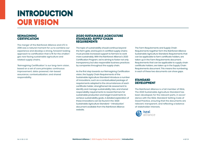## **INTRODUCTION** our vision

### REIMAGINING **CERTIFICATION**

The merger of the Rainforest Alliance and UTZ in 2018 was a natural moment for us to combine our experience and develop a strong, forward-looking approach to certification that is fit for the challenges now facing sustainable agriculture and related supply chains.

'Reimagining Certification' is our long-term vision, based on a set of core principles: continuous improvement; data-powered; risk-based assurance; contextualization; and shared responsibility.

#### 2020 SUSTAINABLE AGRICULTURE STANDARD: SUPPLY CHAIN REQUIREMENTS

The topic of sustainability should continue beyond the farm gate, and buyers in certified supply chains must provide increased support to farmers to work more sustainably. With the Rainforest Alliance's 2020 Certification Program, we're aiming to foster not only transparency but also responsible business practices by companies throughout the supply chain.

As the first step towards our Reimagining Certification vision, the Supply Chain Requirements of the Sustainable Agriculture Standard introduce a number of innovations, such as a contextualized package of requirements adapted to the circumstances of each certificate holder, strengthened risk assessment to identify and manage sustainability risks, and shared responsibility requirements to reward farmers for sustainable production and target investments to achieve sustainability goals. A detailed exploration of these innovations can be found in the '2020 Sustainable Agriculture Standard – Introduction' document available from the Rainforest Alliance website.

The Farm Requirements and Supply Chain Requirements together form the Rainforest Alliance Sustainable Agriculture Standard. Requirements that can be applicable to farm certificate holders, are taken up in the Farm Requirements document. Requirements that can be applicable to supply chain certificate holders, are taken up in the Supply Chain Requirements document. This means the numbering in each of these two documents can show gaps.

#### **STANDARD DEVELOPMENT**

The Rainforest Alliance is a full member of ISEAL. The 2020 Sustainable Agriculture Standard has been developed, for the relevant parts, in accordance with the ISEAL Standard-Setting Code of Good Practice, ensuring that the documents are relevant, transparent, and reflecting a balance of stakeholder interests.

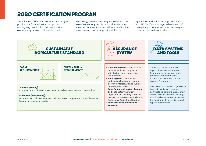### 2020 CERTIFICATION PROGRAM

The Rainforest Alliance 2020 Certification Program provides the foundation for our approach to reimagining certification. The new standard, assurance system and related data and

technology systems are designed to deliver more value to the many people and businesses around the world that use Rainforest Alliance certification as an essential tool to support sustainable

agricultural production and supply chains. Our 2020 Certification Program is made up of three principal components that are designed to work closely with each other:

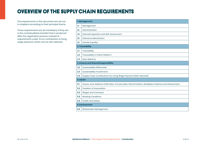### OVERVIEW OF THE SUPPLY CHAIN REQUIREMENTS

The requirements in this document are set out in chapters according to their principal theme.

These requirements are all mandatory if they are in the contextualized checklist that is produced after the registration process, instead of – requirements under 3.4 on contribution to living wage payment, which can be self-selected.

|     | 1. Management                                                                                   |  |  |
|-----|-------------------------------------------------------------------------------------------------|--|--|
| 11  | Management                                                                                      |  |  |
| 1.2 | Administration                                                                                  |  |  |
| 1.4 | Internal Inspection and Self-Assessment                                                         |  |  |
| 1.5 | Grievance Mechanism                                                                             |  |  |
| 1.6 | <b>Gender Equality</b>                                                                          |  |  |
|     | 2. Traceability                                                                                 |  |  |
| 2.1 | Traceability                                                                                    |  |  |
| 2.2 | Traceability in Online Platform                                                                 |  |  |
| 2.3 | <b>Mass Balance</b>                                                                             |  |  |
|     | 3. Income and Shared Responsibility                                                             |  |  |
| 3.2 | <b>Sustainability Differential</b>                                                              |  |  |
| 3.3 | <b>Sustainability Investments</b>                                                               |  |  |
| 3.4 | Supply Chain Contributions for Living Wage Payment (Self-selected)                              |  |  |
|     | <b>5. Social</b>                                                                                |  |  |
| 5.1 | Assess-and-Address Child Labor, Forced Labor, Discrimination, Workplace Violence and Harassment |  |  |
| 5.2 | Freedom of Association                                                                          |  |  |
| 5.3 | <b>Wages and Contracts</b>                                                                      |  |  |
| 5.5 | <b>Working Conditions</b>                                                                       |  |  |
| 5.6 | <b>Health and Safety</b>                                                                        |  |  |
|     | <b>6. Environment</b>                                                                           |  |  |
| 6.6 | Wastewater Management                                                                           |  |  |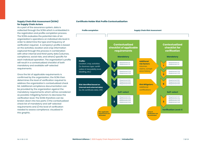#### **Supply Chain Risk Assessment (SCRA) for Supply Chain Actors**

As a part of the assurance system, data is collected through the SCRA which is embedded in the registration and profile completion process. The SCRA evaluates the potential risks of an organization's operations on individual site level in order to determine the type and frequency of verification required. A company's profile is based on the activities, location and crop information captured through this process in combination with other internal and third-party data (volumes, compliance, social risks, and others) specific for each individual operation. The organization's profile will result in a contextualized checklist of both mandatory and available self-selected requirements.

Once the list of applicable requirements is confirmed by the organization, the SCRA then determines the level of verification required to address the organization's contextualized check list. Additional compliance documentation can be provided by the organization against the mandatory requirements which will be considered as possible mitigating factors to decrease the verification level. The SCRA therefore can be broken down into two parts: 1) the contextualized check list of mandatory and self-selected requirements and 2) the level of verification needed to assess compliance; visualized in this graphic.

#### **Certificate Holder Risk Profile Contextualization**

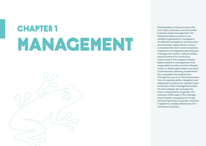# MANAGEMENT **CHAPTER 1**



Sustainability is not just a way of life but is also a business, and successful business needs management. The Rainforest Alliance wants to see certified organizations managed in an efficient, transparent, inclusive and economically viable manner. Here, it is essential that farms and companies implement an integrated planning and management system, with processes and procedures for continuous improvement. This chapter includes topics related to management and responsible business conduct. Requirements on these topics follow a process of assessment, planning, implementation, evaluation and adjustment. Through the use of our Risk Assessment Tool, companies define mitigation and adaptation practices for specific topics to include in their management plans. This first chapter also includes the cross-cutting theme of gender. The inclusion of this topic in the management chapter recognizes the fundamental importance of gender, and that it applies to multiple dimensions of a company's activities.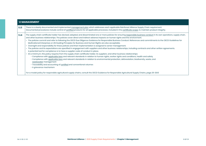|       | <b>1.1 MANAGEMENT</b>                                                                                                                                                                                                                                                                                                                                                                                                                                                                                                                                                                                                                                                                                                                                                                                                                                                                                                                                                                                                                                                                                                                                                                                                                                                                                                                                                                                                                                                                                                                                                                                                                                                             |  |
|-------|-----------------------------------------------------------------------------------------------------------------------------------------------------------------------------------------------------------------------------------------------------------------------------------------------------------------------------------------------------------------------------------------------------------------------------------------------------------------------------------------------------------------------------------------------------------------------------------------------------------------------------------------------------------------------------------------------------------------------------------------------------------------------------------------------------------------------------------------------------------------------------------------------------------------------------------------------------------------------------------------------------------------------------------------------------------------------------------------------------------------------------------------------------------------------------------------------------------------------------------------------------------------------------------------------------------------------------------------------------------------------------------------------------------------------------------------------------------------------------------------------------------------------------------------------------------------------------------------------------------------------------------------------------------------------------------|--|
| 1.1.3 | There is a clearly documented and implemented management plan which addresses each applicable Rainforest Alliance Supply Chain requirement.<br>Documented procedures include control of certified products for all applicable processes, included in the certificate scope, to maintain product integrity.                                                                                                                                                                                                                                                                                                                                                                                                                                                                                                                                                                                                                                                                                                                                                                                                                                                                                                                                                                                                                                                                                                                                                                                                                                                                                                                                                                        |  |
| 1.1.4 | The supply chain certificate holder has devised, adopted, and disseminated one or more policies for ensuring responsible business conduct in its own operations, supply chain,<br>and other business relationships. The policies cover direct and indirect adverse impacts on human rights and the environment.<br>• The policies commit and refer to following the OECD Due Diligence Guidance for Responsible Business Conduct. References and commitments to the OECD Guidelines for<br>Multinational Enterprises or UN Guiding Principles for Business and Human Rights are also acceptable.<br>Oversight and responsibility for these policies and their implementation is assigned to senior management.<br>• The policies and its expectations are specified in engagement with suppliers and other business relationships, including contracts and other written agreements.<br>A potential tool for compliance is to have a supplier code of conduct in place.<br>• At a minimum, this policy requires from the supply chain certificate holder, its suppliers, and other business relationships:<br>- Compliance with applicable laws and relevant standards in relation to human rights, worker rights and conditions, health and safety<br>- Compliance with applicable laws and relevant standards in relation to environmental protection, deforestation, biodiversity, waste, and<br>wastewater management<br>- Traceability and accounting of certified and conventional volumes<br>- A grievance mechanism<br>For a model policy for responsible agricultural supply chains, consult the OECD Guidance for Responsible Agricultural Supply Chains, page 25-29.15 |  |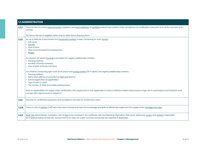|        | <b>1.2 ADMINISTRATION</b>                                                                                                                                                                                                                                                                                                      |  |
|--------|--------------------------------------------------------------------------------------------------------------------------------------------------------------------------------------------------------------------------------------------------------------------------------------------------------------------------------|--|
| 1.2.3  | There is a list of current subcontractors, suppliers, and intermediaries of certified product that confirms their compliance to certification rules prior to or at the moment of an<br>activity.                                                                                                                               |  |
|        | For farms, this list of suppliers refers only to other farms they buy from.                                                                                                                                                                                                                                                    |  |
| 1.2.5  | An up to date list of permanent and temporary workers is kept, containing for each worker:<br>• Full name<br>• Gender<br>• Year of birth<br>• Start and end date(s) of employment<br>• Wages                                                                                                                                   |  |
|        | For workers for whom housing is provided, the registry additionally contains:<br>• Housing address<br>• Number of family members<br>• Year of birth of family members                                                                                                                                                          |  |
|        | For children conducting light work (12-14 years) and young workers (15-17 years), the registry additionally contains:<br>• Housing address<br>$\cdot$ Name and address of parent(s) or legal guardian(s)<br>• School registration (if applicable)<br>• Type of work or tasks<br>• The number of daily and weekly working hours |  |
|        | Note on applicability: for supply chain certification, this requirement is only applicable to those certificate holders that present a high risk in social topics and therefore must<br>comply with requirements in chapter 5.                                                                                                 |  |
| 1.2.9  | Records for certification purposes and compliance are kept for at least four years.                                                                                                                                                                                                                                            |  |
| 1.2.16 | There is a list of workers $(m/f)$ who have been trained and have the knowledge and skills to effectively implement the supply chain management plan.                                                                                                                                                                          |  |
| 1.2.17 | Multi-site administrator maintains a list of sites to be included in the certificate with the following information: Risk result, addresses, scope, and workers responsible<br>for implementation at that site. Consent forms for sites not under common ownership are required, if applicable.                                |  |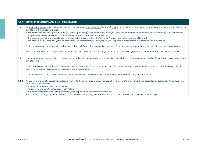|       | <b>1.4 INTERNAL INSPECTION AND SELF-ASSESSMENT</b>                                                                                                                                                                                                                                                                                                                                                                                                                                                                                                                                                                                                                                                                                                                                                                           |
|-------|------------------------------------------------------------------------------------------------------------------------------------------------------------------------------------------------------------------------------------------------------------------------------------------------------------------------------------------------------------------------------------------------------------------------------------------------------------------------------------------------------------------------------------------------------------------------------------------------------------------------------------------------------------------------------------------------------------------------------------------------------------------------------------------------------------------------------|
| 1.4.1 | An internal inspection system is in place to assess compliance of group members (for farms), sites, and/or other actors in scope with the Rainforest Alliance Sustainable Agricul-<br>ture Standard. The system includes:<br>• Yearly inspection of each group member (for farms), (processing) site and any other actor (including subcontractors, intermediaries, service providers) in the certification<br>scope. Before the first certification audit, all these actors need to be internally inspected.<br>· The scope in the first year of certification is: all applicable requirements of the Rainforest Alliance Sustainable Agriculture Standard<br>• The scope during consecutive years is based on the Risk Assessment (for farms, see 1.3.1), on the previous year's internal inspection and on audit results. |
|       | For farm scope only: a rotation system is in place so that each farm unit is inspected at least every 3 years. In case of remote farm units, this is done at least every 6 years.<br>Note on applicability: internal inspections are carried out when more than one entity (group members, sites, service providers, subcontractors) are included in the certificate.                                                                                                                                                                                                                                                                                                                                                                                                                                                        |
| 1.4.2 | Management yearly carries out a self-assessment to evaluate its own compliance and that of all actors in its certification scope with the Rainforest Alliance Sustainable Agricul-<br>ture Standard.                                                                                                                                                                                                                                                                                                                                                                                                                                                                                                                                                                                                                         |
|       | For farm certificate holders, the self-assessment includes the results of the internal inspections of the group members and other entities covered in the certificate (including<br>subcontractors, intermediaries, service providers, and processing sites).                                                                                                                                                                                                                                                                                                                                                                                                                                                                                                                                                                |
|       | For multi-site supply chain certificate holders, the self-assessment includes the internal inspections of the sites, including subcontractors.                                                                                                                                                                                                                                                                                                                                                                                                                                                                                                                                                                                                                                                                               |
| 1.4.3 | An approval and sanction system is in place in relation to the compliance of group members (for farms) and/or sites with the Rainforest Alliance Sustainable Agriculture Stan-<br>dard. The system includes:<br>• A written approval and sanction procedure<br>• An approval and sanction manager or committee<br>• A mechanism to follow up on group members'/sites' improvement and corrective measures<br>• A decision on each group member's/site's certification status that is signed and documented and included in the final internal inspection report                                                                                                                                                                                                                                                              |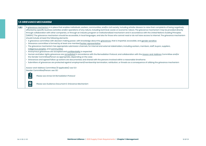|       | <b>1.5 GRIEVANCE MECHANISM</b>                                                                                                                                                                                                                                                                                                                                                                                                                                                                                                                                                                                                                                                                                                                                                                                                                                                                                                                                                                                                                                                                                                                                                                                                                                                                                                                                                                                                                                                                                                                                                                                                                                                                                                                                                                                                     |
|-------|------------------------------------------------------------------------------------------------------------------------------------------------------------------------------------------------------------------------------------------------------------------------------------------------------------------------------------------------------------------------------------------------------------------------------------------------------------------------------------------------------------------------------------------------------------------------------------------------------------------------------------------------------------------------------------------------------------------------------------------------------------------------------------------------------------------------------------------------------------------------------------------------------------------------------------------------------------------------------------------------------------------------------------------------------------------------------------------------------------------------------------------------------------------------------------------------------------------------------------------------------------------------------------------------------------------------------------------------------------------------------------------------------------------------------------------------------------------------------------------------------------------------------------------------------------------------------------------------------------------------------------------------------------------------------------------------------------------------------------------------------------------------------------------------------------------------------------|
| 1.5.1 | A grievance mechanism is in place that enables individuals, workers, communities, and/or civil society, including whistle-blowers to raise their complaints of being negatively<br>affected by specific business activities and/or operations of any nature, including technical, social, or economic nature. The grievance mechanism may be provided directly<br>through collaboration with other companies, or through an industry program or institutionalized mechanism and in accordance with the United Nations Guiding Principles<br>(UNGPs). The grievance mechanism should be accessible, in local languages, and also for those who cannot read or do not have access to internet. The grievance mechanism<br>should include at least the following elements:<br>• A grievance committee with decision making power, with knowledge about the grievances, that is impartial, accessible, and gender sensitive<br>• Grievance committee is formed by at least one member/worker representative<br>· The grievance mechanism has appropriate submission channels, for internal and external stakeholders, including workers, members, staff, buyers, suppliers,<br>indigenous peoples, and communities<br>• Anonymous grievances are accepted and confidentiality is respected<br>• Human and labor rights grievances are remediated in accordance with the Remediation Protocol, and collaboration with the Assess-and-Address Committee and/or<br>the Gender Committee/Person as appropriate, depending on the case<br>• Grievances and agreed follow up actions are documented, and shared with the persons involved within a reasonable timeframe<br>· Submitters of grievances are protected against employment/membership termination, retribution, or threats as a consequence of utilizing the grievance mechanism |
|       | Assess-and-Address Committee (if applicable): see 5.1.1<br>Gender Committee/Person: see 1.6.1<br>$\mathbf{\underline{U}}$<br>Please see Annex S4: Remediation Protocol<br>$\frac{1}{2}$<br>Please see Guidance Document E: Grievance Mechanism                                                                                                                                                                                                                                                                                                                                                                                                                                                                                                                                                                                                                                                                                                                                                                                                                                                                                                                                                                                                                                                                                                                                                                                                                                                                                                                                                                                                                                                                                                                                                                                     |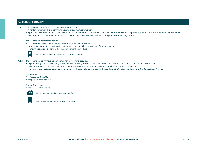|       | <b>1.6 GENDER EQUALITY</b>                                                                                                                                                                                                                                                                                                                                                                                                                                                             |  |
|-------|----------------------------------------------------------------------------------------------------------------------------------------------------------------------------------------------------------------------------------------------------------------------------------------------------------------------------------------------------------------------------------------------------------------------------------------------------------------------------------------|--|
| 1.6.1 | Management commits to promoting gender equality by:<br>• A written statement that is communicated to group members/workers<br>• Appointing a committee that is responsible for the implementation, monitoring, and evaluation of measures that promote gender equality and women's empowerment.<br>Management can choose to appoint a responsible person instead of a committee, except in the case of large farms.                                                                    |  |
|       | The responsible committee/person:<br>· Is knowledgeable about gender equality and women's empowerment<br>· In case of a committee, includes at least one woman and at least one person from management<br>• Is known, accessible and trusted by the group members/workers<br>$\bm{\mathcal{G}}$<br>Please see Guidance Document F: Gender Equality                                                                                                                                     |  |
| 1.6.2 | The responsible committee/person performs the following activities:<br>• Implements gender equality mitigation measures following the basic Risk Assessment and includes these measures in the management plan<br>• Raises awareness on gender equality and women's empowerment with management and (group) staff at least annually<br>· Is involved in remediation cases concerning gender-based violence and gender-based discrimination in accordance with the Remediation Protocol |  |
|       | Farm scope:<br>Risk Assessment: see 1.3.1<br>Management plan: see 1.3.2                                                                                                                                                                                                                                                                                                                                                                                                                |  |
|       | Supply Chain scope:<br>Management plan: see 1.1.3                                                                                                                                                                                                                                                                                                                                                                                                                                      |  |
|       | Please see Annex S3: Risk Assessment Tool                                                                                                                                                                                                                                                                                                                                                                                                                                              |  |
|       | Please see Annex S4: Remediation Protocol                                                                                                                                                                                                                                                                                                                                                                                                                                              |  |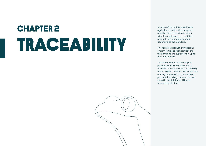## TRACEABiLITY **CHAPTER 2** A successful, credible sustainable<br>agriculture certification program



agriculture certification program must be able to provide its users with the confidence that certified products are indeed produced according to the standard.

This requires a robust, transparent system to track products from the farmer along the supply chain up to the level of retail.

The requirements in this chapter provide certificate holders with a framework to accurately and credibly trace certified product and report any activity performed on the certified product (including conversions and sales) in the Rainforest Alliance traceability platform.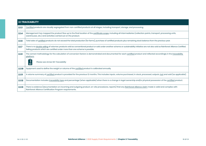|        | <b>2.1 TRACEABILITY</b>                                                                                                                                                                                                                                                    |  |
|--------|----------------------------------------------------------------------------------------------------------------------------------------------------------------------------------------------------------------------------------------------------------------------------|--|
| 2.1.3  | Certified products are visually segregated from non-certified products at all stages, including transport, storage, and processing.                                                                                                                                        |  |
| 2.1.4  | Management has mapped the product flow up to the final location of the certificate scope, including all intermediaries (collection points, transport, processing units,<br>warehouses, etc.) and activities carried out on the product.                                    |  |
| 2.1.6  | Total sales of certified products do not exceed the total production (for farms), purchase of certified products plus remaining stock balance from the previous year.                                                                                                      |  |
| 2.1.7  | There is no double selling of volumes: products sold as conventional product or sold under another scheme or sustainability initiative are not also sold as Rainforest Alliance Certified.<br>Selling products which are certified under more than one scheme is possible. |  |
| 2.1.9  | The correct methodology for the calculation of conversion factors is demonstrated and documented for each certified product and reflected accordingly in the traceability<br>platform.                                                                                     |  |
|        | Please see Annex S6: Traceability                                                                                                                                                                                                                                          |  |
| 2.1.10 | Equipment used to define the weight or volume of the certified product is calibrated annually.                                                                                                                                                                             |  |
| 2.1.11 | A volume summary of certified product is provided for the previous 12 months. This includes inputs, volume purchased, in stock, processed, outputs, lost and sold (as applicable).                                                                                         |  |
| 2.1.12 | Documentation includes traceability type and percentage (when applicable) when there is a change in legal ownership and/or physical possession of the certified product.                                                                                                   |  |
| 2.1.13 | There is evidence (documentation on incoming and outgoing product, on-site procedures, reports) that any Rainforest Alliance claim made is valid and complies with<br>Rainforest Alliance Certification Program requirements.                                              |  |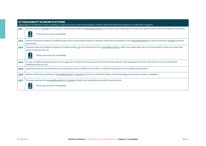|       | <b>2.2 TRACEABILITY IN ONLINE PLATFORM</b><br>Applicable to certificate holders working in crops for which online traceability is offered within the Rainforest Alliance Certification Program.             |  |
|-------|-------------------------------------------------------------------------------------------------------------------------------------------------------------------------------------------------------------|--|
| 2.2.1 | Volumes sold as certified are recorded in the Rainforest Alliance traceability platform at the latest two weeks after the end of the quarter within which the shipment took place.                          |  |
|       | Please see Annex S6: Traceability                                                                                                                                                                           |  |
| 2.2.2 | Buyers of Rainforest Alliance Certified product have a procedure in place to regularly verify that transactions in the traceability platform match invoices for certified products<br>purchased.            |  |
| 2.2.3 | Volumes sold not as Rainforest Alliance Certified and/or lost are removed from the traceability platform within two weeks after the end of the quarter in which the sales took<br>place or volume was lost. |  |
|       | Please see Annex S6: Traceability                                                                                                                                                                           |  |
| 2.2.4 | In case of public facing trademark use, an approval is obtained in accordance with the Rainforest Alliance 2020 Labeling and Trademarks Policy for on and off product<br>trademarks prior to use.           |  |
| 2.2.5 | Shipments that are combined into one transaction include sufficient information to relate the transaction to the individual shipments.                                                                      |  |
| 2.2.6 | Written confirmation granting a traceability platform mandate by the farm certificate holder and acknowledgement by both parties is available.                                                              |  |
| 2.2.7 | The party granted the traceability platform mandate complies with applicable traceability requirements.                                                                                                     |  |
|       | Please see Annex S6: Traceability                                                                                                                                                                           |  |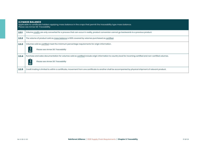|       | <b>2.3 MASS BALANCE</b><br>Applicable to certificate holders applying mass balance in the crops that permit the traceability type mass balance.<br>Please see Annex S6: Traceability              |  |
|-------|---------------------------------------------------------------------------------------------------------------------------------------------------------------------------------------------------|--|
| 2.3.1 | Volume credits are only converted for a process that can occur in reality, product conversion cannot go backwards to a previous product.                                                          |  |
| 2.3.2 | The volume of product sold as mass balance is 100% covered by volumes purchased as certified.                                                                                                     |  |
| 2.3.3 | Volumes sold as certified meet the minimum percentage requirements for origin information.<br>Please see Annex S6: Traceability                                                                   |  |
| 2,3,4 | Purchase and sales documentation for volumes sold as certified include origin information to country level for incoming certified and non-certified volumes.<br>Please see Annex S6: Traceability |  |
| 2,3,5 | Credit trading is limited to within a certificate, movement from one certificate to another shall be accompanied by physical shipment of relevant product.                                        |  |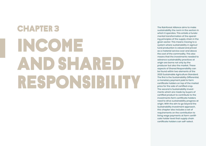# INCOME AND SHARED RESPONSIBILITY **CHAPTER 3**

The Rainforest Alliance aims to make sustainability the norm in the sectors in which it operates. This entails a fundamental transformation of the operating principles of the supply chain in the given sector. This means moving to a system where sustainability in agricultural production is valued and priced as a material service over and above the cost of the commodity. This also means that the investments needed to advance sustainability practices at origin are borne not only by the producer but also the market. These aspects of Shared Responsibility can be found within two elements of the 2020 Sustainable Agriculture Standard. The first is the Sustainability Differential, a monetary payment paid to farm certificate holders on top of the market price for the sale of certified crop. The second is Sustainability Investments which are made by buyers of certified product to contribute to the investments farm certificate holders need to drive sustainability progress at origin. With the aim to go beyond the Sustainability Investment approach, this chapter also includes a set of requirements on the contribution to living wage payments at farm certificate holder level that supply chain certificate holders can self-select.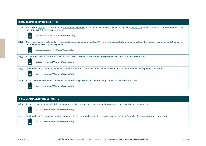|       | <b>3.2 SUSTAINABILITY DIFFERENTIAL</b>                                                                                                                                                                                               |  |
|-------|--------------------------------------------------------------------------------------------------------------------------------------------------------------------------------------------------------------------------------------|--|
| 3.2.3 | The buyer of certified products pays the Sustainability Differential in the form of a monetary payment on top of the market price, quality premiums or other differentials. Sustai-<br>nability Differential cannot be paid in kind. |  |
|       | Please see Annex S14: Shared Responsibility                                                                                                                                                                                          |  |
| 3.2.4 | The responsible certificate holders (see Annex S14 for further detail on applicability) have clear contractual agreements in place which specify the amount and other terms<br>around Sustainability Differential payment.           |  |
|       | Please see Annex S14: Shared Responsibility                                                                                                                                                                                          |  |
| 3.2.5 | The full amount of the Sustainability Differential is paid at least annually and no later than payment terms defined for the relevant crop.                                                                                          |  |
|       | Please see Annex S14: Shared Responsibility                                                                                                                                                                                          |  |
| 3.2.6 | Confirmation of Sustainability Differential payment is recorded in the traceability platform no later than 3 months after the actual payment was made.                                                                               |  |
|       | Please see Annex S14: Shared Responsibility                                                                                                                                                                                          |  |
| 3.2.7 | The Sustainability Differential paid amounts to at least the prescribed minimum, for crops for which a minimum is defined.                                                                                                           |  |
|       | Please see Annex S14: Shared Responsibility                                                                                                                                                                                          |  |

### **3.3 SUSTAINABILITY INVESTMENTS**

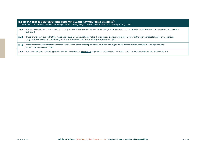| 3.4 SUPPLY CHAIN CONTRIBUTIONS FOR LIVING WAGE PAYMENT (SELF SELECTED)<br>Applicable to any certificate holder deciding to make a Living Wage payment contribution and corresponding claim. |                                                                                                                                                                                                                                                                       |
|---------------------------------------------------------------------------------------------------------------------------------------------------------------------------------------------|-----------------------------------------------------------------------------------------------------------------------------------------------------------------------------------------------------------------------------------------------------------------------|
| 3.4.1                                                                                                                                                                                       | The supply chain certificate holder has a copy of the farm certificate holder's plan for wage improvement and has identified how and when support could be provided to<br>achieve it.                                                                                 |
| 3.4.2                                                                                                                                                                                       | There is written evidence that the responsible supply chain certificate holder has engaged and come to agreement with the farm certificate holder on modalities,<br>targets and timelines for contributing to the implementation of the farm's wage improvement plan. |
| 3,4,3                                                                                                                                                                                       | There is evidence that contributions to the farm's wage improvement plan are being made and align with modalities, targets and timelines as agreed upon<br>with the farm certificate holder.                                                                          |
| 3,4.4                                                                                                                                                                                       | The direct financial or other type of investment in context of living wage payment contribution by the supply chain certificate holder to the farm is recorded.                                                                                                       |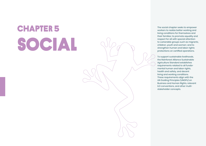# SOCIAL The social chapter seeks to empower<br>Workers to realize better working and

workers to realize better working and living conditions for themselves and their families; to promote equality and respect for all with special attention to vulnerable groups such as migrants, children, youth and women; and to strengthen human and labor rights protections on certified operations.

To support sustainable livelihoods, the Rainforest Alliance Sustainable Agriculture Standard establishes requirements related to all fundamental human and labor rights, health and safety, and decent living and working conditions. These requirements align with the UN Guiding Principles (UNGPs) on Business and Human Rights, relevant ILO conventions, and other multistakeholder concepts.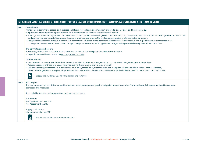|       | 5.1 ASSESS-AND-ADDRESS CHILD LABOR, FORCED LABOR, DISCRIMINATION, WORKPLACE VIOLENCE AND HARASSMENT                                                                                                                                                                                                                                                                                                                                                                                                                                                                                                                                                                                                                                                                                                                                                          |
|-------|--------------------------------------------------------------------------------------------------------------------------------------------------------------------------------------------------------------------------------------------------------------------------------------------------------------------------------------------------------------------------------------------------------------------------------------------------------------------------------------------------------------------------------------------------------------------------------------------------------------------------------------------------------------------------------------------------------------------------------------------------------------------------------------------------------------------------------------------------------------|
| 5.1.1 | Commitment:<br>Management commits to assess-and-address child labor, forced labor, discrimination, and workplace violence and harassment by:<br>• Appointing a management representative who is accountable for the assess-and-address system<br>• For large farms, individually certified farms and supply chain certificate holders: giving a mandate to a committee comprised of the appointed management representative<br>and workers representative(s) to manage the assess-and-address system. The worker representative(s) is/are selected by workers.<br>· For group management: giving a mandate to a committee comprised of the appointed management representative and a group member representative to<br>manage the assess-and-address system. Group management can choose to appoint a management representative only instead of a committee. |
|       | The committee members are:<br>· Knowledgeable about child labor, forced labor, discrimination and workplace violence and harassment<br>• Impartial, accessible and trusted by workers/group members                                                                                                                                                                                                                                                                                                                                                                                                                                                                                                                                                                                                                                                          |
|       | Communication:<br>• Management representative/committee: coordinates with management, the grievance committee and the gender person/committee<br>Raises awareness of these four issues with management and (group) staff at least annually<br>· Informs workers/group members in writing that child labor, forced labor, discrimination and workplace violence and harassment are not tolerated,<br>and that management has a system in place to assess and address related cases. This information is visibly displayed at central locations at all times.<br>$\mathbf{Q}$<br>Please see Guidance Document L: Assess-and-Address                                                                                                                                                                                                                            |
| 5.1.2 | Risk mitigation:<br>The management representative/committee includes in the management plan the mitigation measures as identified in the basic Risk Assessment and implements<br>corresponding measures.                                                                                                                                                                                                                                                                                                                                                                                                                                                                                                                                                                                                                                                     |
|       | The basic Risk Assessment is repeated at least every three years.                                                                                                                                                                                                                                                                                                                                                                                                                                                                                                                                                                                                                                                                                                                                                                                            |
|       | Farm scope:<br>Management plan: see 1.3.2<br>Risk Assessment: see 1.3.1                                                                                                                                                                                                                                                                                                                                                                                                                                                                                                                                                                                                                                                                                                                                                                                      |
|       | Supply Chain scope:<br>Management plan: see 1.1.3                                                                                                                                                                                                                                                                                                                                                                                                                                                                                                                                                                                                                                                                                                                                                                                                            |
|       | $\mathsf{I}$<br>Please see Annex S3: Risk Assessment Tool<br>≡                                                                                                                                                                                                                                                                                                                                                                                                                                                                                                                                                                                                                                                                                                                                                                                               |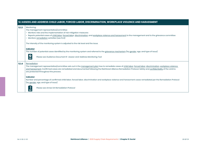|       | 5.1 ASSESS AND ADDRESS CHILD LABOR, FORCED LABOR, DISCRIMINATION, WORKPLACE VIOLENCE AND HARASSMENT                                                                                                                                                                                                                                                                                         |
|-------|---------------------------------------------------------------------------------------------------------------------------------------------------------------------------------------------------------------------------------------------------------------------------------------------------------------------------------------------------------------------------------------------|
| 5.1.3 | Monitoring:<br>The management representative/committee<br>• Monitors risks and the implementation of risk mitigation measures<br>· Reports potential cases of child labor, forced labor, discrimination, and workplace violence and harassment to the management and to the grievance committee<br>• Monitors remediation activities (see 5.1.4)                                            |
|       | The intensity of the monitoring system is adjusted to the risk level and the issue.                                                                                                                                                                                                                                                                                                         |
|       | Indicator:<br>The number of potential cases identified by the monitoring system and referred to the grievance mechanism (by gender, age, and type of issue)<br>$\mathbf{Q}$<br>Please see Guidance Document R: Assess-and-Address Monitoring Tool                                                                                                                                           |
| 5.1.4 | Remediation:<br>The management representative/committee sets out in the management plan how to remediate cases of child labor, forced labor, discrimination, workplace violence<br>and harassment. Confirmed cases are remediated and documented following the Rainforest Alliance Remediation Protocol. Safety and confidentiality of the victims<br>are protected throughout the process. |
|       | Indicator:<br>Number and percentage of confirmed child labor, forced labor, discrimination and workplace violence and harassment cases remediated per the Remediation Protocol<br>(by gender, age, and type of issue)                                                                                                                                                                       |
|       | $\mathsf{I}$<br>Please see Annex S4: Remediation Protocol                                                                                                                                                                                                                                                                                                                                   |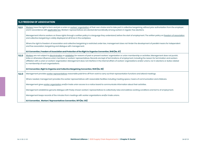|       | <b>5.2 FREEDOM OF ASSOCIATION</b>                                                                                                                                                                                                                                                                                                                                                                                                                                                                                                                                                        |  |  |
|-------|------------------------------------------------------------------------------------------------------------------------------------------------------------------------------------------------------------------------------------------------------------------------------------------------------------------------------------------------------------------------------------------------------------------------------------------------------------------------------------------------------------------------------------------------------------------------------------------|--|--|
| 5.2.1 | Workers have the right to form and join a union or workers' organization of their own choice and to take part in collective bargaining, without prior authorization from the employer,<br>and in accordance with applicable law. Workers' representatives are elected democratically among workers in regular, free elections.                                                                                                                                                                                                                                                           |  |  |
|       | Management informs workers on these rights through a written policy in a language they understand, before the start of employment. The written policy on freedom of association<br>and collective bargaining is visibly displayed at all times in the workplace.                                                                                                                                                                                                                                                                                                                         |  |  |
|       | Where the right to freedom of association and collective bargaining is restricted under law, management does not hinder the development of parallel means for independent<br>and free association, bargaining and dialogue with management.                                                                                                                                                                                                                                                                                                                                              |  |  |
|       | ILO Convention, Freedom of Association and Protection of the Right to Organise Convention, 1948 (No. 87)                                                                                                                                                                                                                                                                                                                                                                                                                                                                                 |  |  |
| 5.2.2 | Workers are not subject to discrimination or retaliation for reasons of past or present workers' organization or union membership or activities. Management does not punish,<br>bribe or otherwise influence union members or workers' representatives. Records are kept of terminations of employment, including the reason for termination and workers<br>affiliation with a union or workers' organization. Management does not interfere in the internal affairs of workers' organizations and/or unions, nor in elections or duties related<br>to membership of such organizations. |  |  |
|       | ILO Convention, Right to Organise and Collective Bargaining Convention, 1949 (No. 98)                                                                                                                                                                                                                                                                                                                                                                                                                                                                                                    |  |  |
| 5.2.3 | Management provides worker representatives reasonable paid time off from work to carry out their representation functions and attend meetings.                                                                                                                                                                                                                                                                                                                                                                                                                                           |  |  |
|       | Where needed, management provides the worker representatives with reasonable facilities including meeting space, means of communication and childcare.                                                                                                                                                                                                                                                                                                                                                                                                                                   |  |  |
|       | Management gives worker organization and/or trade union access to a notice board to communicate information about their activities.                                                                                                                                                                                                                                                                                                                                                                                                                                                      |  |  |
|       | Management establishes genuine dialogue with freely chosen workers' representatives to collectively raise and address working conditions and terms of employment.                                                                                                                                                                                                                                                                                                                                                                                                                        |  |  |
|       | Management keeps records of the minutes from meetings with worker organizations and/or trade unions.                                                                                                                                                                                                                                                                                                                                                                                                                                                                                     |  |  |
|       | ILO Convention, Workers' Representatives Convention, 1971 (No. 135)                                                                                                                                                                                                                                                                                                                                                                                                                                                                                                                      |  |  |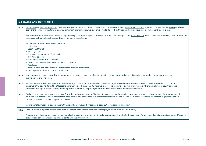|       | <b>5.3 WAGES AND CONTRACTS</b>                                                                                                                                                                                                                                                                                                                                                                                                                                                               |  |  |
|-------|----------------------------------------------------------------------------------------------------------------------------------------------------------------------------------------------------------------------------------------------------------------------------------------------------------------------------------------------------------------------------------------------------------------------------------------------------------------------------------------------|--|--|
| 5.3.1 | Permanent and temporary workers who are employed for more than three consecutive months have a written employment contract signed by both parties. The worker receives a<br>copy of the contract at the time of signing. Permanent and temporary workers employed for fewer than three months must have at least verbal contracts in place.                                                                                                                                                  |  |  |
|       | Verbal instead of written contracts are acceptable only if they create legally binding employment relationships under applicable law. The employer keeps records of verbal contracts<br>that include all terms listed below and inform workers of these terms.                                                                                                                                                                                                                               |  |  |
|       | Written/verbal contracts include at minimum:<br>• Job duties<br>• Location of the job<br>• Working hours<br>• Pay rate and/or method of calculation<br>• Overtime pay rate<br>• Frequency or schedule of payment<br>• Deductions, benefits provided such as in-kind benefits<br>• Paid leave<br>• Medical leave and protections in case of illness, disability or accident<br>• Notice period (if any) for contract termination                                                              |  |  |
| 5.3.2 | Management does not engage in arrangements or practices designed to eliminate or reduce workers' pay and/or benefits such as employing temporary workers for<br>permanent or ongoing tasks.                                                                                                                                                                                                                                                                                                  |  |  |
| 5.3.3 | Workers receive at least the applicable minimum wage, or the wage negotiated in a Collective Bargaining Agreement (CBA), whichever is higher. For production quota or<br>piece work, the payment must be at least the minimum wage, based on a 48-hour working week or national legal working hours limit whichever is lower. In countries where<br>the minimum wage is not adjusted yearly or regulated in a CBA, it is adjusted yearly for inflation based on the national inflation rate. |  |  |
| 5.3.5 | Deductions from wages are permitted only if provided by applicable law or CBA. Voluntary wage deductions such as advance payments, union membership, or loans can only<br>be made with written or verbal consent from the worker. Wage deductions as a disciplinary measure are not allowed. Deductions for work related to tools, equipment, or gear<br>are not allowed unless those are permitted by law.                                                                                  |  |  |
|       | In-kind benefits must be in accordance with national law, however, they cannot exceed 30% of the total remuneration.                                                                                                                                                                                                                                                                                                                                                                         |  |  |
| 5.3.6 | Workers are paid regularly at scheduled intervals agreed both by the worker and the employer, but must be at least monthly.                                                                                                                                                                                                                                                                                                                                                                  |  |  |
|       | Records are maintained, per worker, of hours worked (regular and overtime) and/or volume produced (if applicable), calculation of wages and deductions, and wages paid. Workers<br>are provided pay slips with each payment containing this information.                                                                                                                                                                                                                                     |  |  |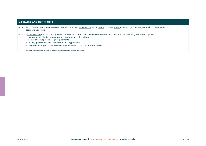| 5.3 WAGES AND CONTRACTS |                                                                                                                                                                                                                                                                                                                                                                                                                                        |
|-------------------------|----------------------------------------------------------------------------------------------------------------------------------------------------------------------------------------------------------------------------------------------------------------------------------------------------------------------------------------------------------------------------------------------------------------------------------------|
| 5.3.8                   | Work of equal value is remunerated with equal pay without discrimination e.g. on gender or type of worker, ethnicity, age, color, religion, political opinion, nationality,<br>social origin or others.                                                                                                                                                                                                                                |
| 5,3.9                   | If labor providers are used, management has a written contract and documented oversight mechanisms in place ensuring that the labor provider is:<br>• Licensed or certified by the competent national authority, if applicable<br>• Compliant with applicable legal requirements<br>• Not engaged in fraudulent or coercive recruiting practices<br>Compliant with applicable worker related requirements 5.3 and 5.5 of this standard |
|                         | All recruitment fees are paid by the management, not by workers.                                                                                                                                                                                                                                                                                                                                                                       |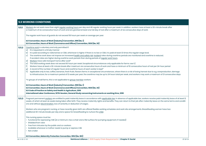|         | <b>5.5 WORKING CONDITIONS</b>                                                                                                                                                                                                                                                                                                                                                                                                                                                                                                                                                                                                                                                                                                                                                                                                                                                                                                                                                                                                                                                                                                                                                                                                                                                                                                                                                                                                                                                                                                                                                                                                                                                                                                                                                              |  |
|---------|--------------------------------------------------------------------------------------------------------------------------------------------------------------------------------------------------------------------------------------------------------------------------------------------------------------------------------------------------------------------------------------------------------------------------------------------------------------------------------------------------------------------------------------------------------------------------------------------------------------------------------------------------------------------------------------------------------------------------------------------------------------------------------------------------------------------------------------------------------------------------------------------------------------------------------------------------------------------------------------------------------------------------------------------------------------------------------------------------------------------------------------------------------------------------------------------------------------------------------------------------------------------------------------------------------------------------------------------------------------------------------------------------------------------------------------------------------------------------------------------------------------------------------------------------------------------------------------------------------------------------------------------------------------------------------------------------------------------------------------------------------------------------------------------|--|
| 5.5.1   | Workers do not work more than eight regular working hours per day and 48 regular working hours per week. In addition, workers have at least a 30-minute break after<br>a maximum of six consecutive hours of work and are granted at least one full day of rest after a maximum of six consecutive days of work.                                                                                                                                                                                                                                                                                                                                                                                                                                                                                                                                                                                                                                                                                                                                                                                                                                                                                                                                                                                                                                                                                                                                                                                                                                                                                                                                                                                                                                                                           |  |
|         | The regular work hours of guards do not exceed 56 hours per week on average per year.                                                                                                                                                                                                                                                                                                                                                                                                                                                                                                                                                                                                                                                                                                                                                                                                                                                                                                                                                                                                                                                                                                                                                                                                                                                                                                                                                                                                                                                                                                                                                                                                                                                                                                      |  |
|         | ILO Convention, Hours of Work (Industry) Convention, 1919 (No. 1)<br>ILO Convention, Hours of Work (Commerce and Offices) Convention, 1930 (No. 30)                                                                                                                                                                                                                                                                                                                                                                                                                                                                                                                                                                                                                                                                                                                                                                                                                                                                                                                                                                                                                                                                                                                                                                                                                                                                                                                                                                                                                                                                                                                                                                                                                                        |  |
| 5.5.2   | Overtime work is voluntary and only permitted if:<br>a) It is requested in a timely manner<br>It is paid according to national law or CBA, whichever is higher. If there is no law or CBA, it is paid at least 1,5 times the regular wage level.<br>b)<br>The overtime work does not impose an increased health and safety risk. Incident rates during overtime periods are monitored and overtime is reduced,<br>$\mathsf{c}$<br>if accident rates are higher during overtime work periods than during periods of regular work hours.<br>Workers have safe transport home after work*<br>$\mathsf{d}$<br>The total working week does not exceed 60 hours per week. Exceptional circumstances only applicable for farms: see h)<br>e)<br>f)<br>Workers have at least a 30-minute break after maximum six consecutive hours of work and have a minimum of 10 consecutive hours of rest per 24-hour period<br>A record of the number of regular hours and overtime hours of each worker is kept*<br>g)<br>Applicable only to tea, coffee, bananas, fresh fruits, flowers farms: in exceptional circumstances, where there is a risk of losing harvest due to e.g. overproduction, damage<br>h)<br>to infrastructure, for a maximum period of 12 weeks per year, the overtime may be up to 24 hours total per week, and workers may work a maximum of 21 consecutive days.<br>*in groups of small farms, this is not applicable to group member workers<br>ILO Convention, Hours of Work (Industry) Convention, 1919 (No. 1)<br>ILO Convention, Hours of Work (Commerce and Offices) Convention, 1930 (No. 30)<br>ILO Code of Practice on Safety and Health in Agriculture, 2010<br>International Labor Conference, 107th Session, General Study concerning instruments on working time, 2018 |  |
| 5, 5, 3 | Pregnant permanent workers are entitled to paid maternity leave in accordance with applicable law. In absence of applicable law, workers receive paid maternity leave of at least 12<br>weeks, of which at least six weeks being taken after birth. They receive maternity rights and benefits. They can return to their job after maternity leave on the same terms and conditi-<br>ons and without discrimination, loss of seniority or deduction of wages.                                                                                                                                                                                                                                                                                                                                                                                                                                                                                                                                                                                                                                                                                                                                                                                                                                                                                                                                                                                                                                                                                                                                                                                                                                                                                                                              |  |
|         | Workers who are pregnant, nursing, or have recently given birth are offered flexible working schedules and work site arrangements. Breastfeeding women have two<br>additional 30-minute breaks per day and a space for breastfeeding to nurture the child.                                                                                                                                                                                                                                                                                                                                                                                                                                                                                                                                                                                                                                                                                                                                                                                                                                                                                                                                                                                                                                                                                                                                                                                                                                                                                                                                                                                                                                                                                                                                 |  |
|         | This nursing space must be:<br>· Functional for expressing milk (at a minimum, has a chair and a flat surface for pumping equipment, if needed)<br>• Shielded from view<br>• Free from intrusion by the public and co-workers<br>• Available whenever a mother needs to pump or express milk<br>• Not a toilet                                                                                                                                                                                                                                                                                                                                                                                                                                                                                                                                                                                                                                                                                                                                                                                                                                                                                                                                                                                                                                                                                                                                                                                                                                                                                                                                                                                                                                                                             |  |
|         | ILO Convention, Maternity Protection Convention, 1952 (No. 183)                                                                                                                                                                                                                                                                                                                                                                                                                                                                                                                                                                                                                                                                                                                                                                                                                                                                                                                                                                                                                                                                                                                                                                                                                                                                                                                                                                                                                                                                                                                                                                                                                                                                                                                            |  |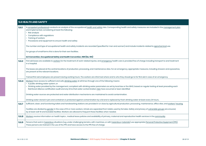| <b>5.6 HEALTH AND SAFETY</b> |                                                                                                                                                                                                                                                                                                                                                                                                                                                                                                                                                                                                             |
|------------------------------|-------------------------------------------------------------------------------------------------------------------------------------------------------------------------------------------------------------------------------------------------------------------------------------------------------------------------------------------------------------------------------------------------------------------------------------------------------------------------------------------------------------------------------------------------------------------------------------------------------------|
| 5.6.1                        | A competent professional conducts an analysis of the occupational health and safety risks. Corresponding health and safety measures are included in the management plan<br>and implemented, considering at least the following;<br>• Risk analysis<br>• Compliance with regulations<br>• Training of workers<br>• Procedures and equipment to ensure health and safety<br>The number and type of occupational health and safety incidents are recorded (specified for men and women) and include incidents related to agrochemical use.<br>For groups of small farms this is done for their own facilities. |
|                              | ILO Convention, Occupational Safety and Health Convention, 1981 (No. 155)                                                                                                                                                                                                                                                                                                                                                                                                                                                                                                                                   |
| 5.6.2                        | First aid boxes are available to workers for the treatment of work-related injuries, and emergency health care is provided free of charge including transport to and treatment<br>in a hospital.                                                                                                                                                                                                                                                                                                                                                                                                            |
|                              | The boxes are placed at the central locations of production, processing, and maintenance sites. For an emergency, appropriate measures, including showers and eyewashes,<br>are present at the relevant locations.                                                                                                                                                                                                                                                                                                                                                                                          |
|                              | Trained first aid employees are present during working hours. The workers are informed where and to who they should go to for first aid in case of an emergency.                                                                                                                                                                                                                                                                                                                                                                                                                                            |
| 5.6.4                        | Workers have access to sufficient and safe drinking water at all times through one of the following means:<br>• A public drinking water system, or                                                                                                                                                                                                                                                                                                                                                                                                                                                          |
|                              | · Drinking water provided by the management, compliant with drinking water parameters as set by local law or the WHO, based on regular testing at least preceding each<br>Rainforest Alliance certification audit and any time that water contamination risks have occurred or been identified                                                                                                                                                                                                                                                                                                              |
|                              | Drinking water sources are protected and water distribution mechanisms are maintained to avoid contamination.                                                                                                                                                                                                                                                                                                                                                                                                                                                                                               |
|                              | Drinking water stored in jars and containers is protected against contamination by a lid and is replaced by fresh drinking water at least every 24 hours.                                                                                                                                                                                                                                                                                                                                                                                                                                                   |
| 5.6.7                        | Sufficient, clean, and functioning toilets and handwashing stations are provided in or close by agricultural production, processing, maintenance, office sites, and workers' housing.                                                                                                                                                                                                                                                                                                                                                                                                                       |
|                              | Facilities are divided by gender in the case of 10 or more workers. Urinals are separated from toilets used by females. Safety and privacy of vulnerable groups are ensured,<br>by at least well-lit and lockable facilities. Workers are allowed to frequent these facilities when needed.                                                                                                                                                                                                                                                                                                                 |
| 5.6.8                        | Workers receive information on health topics, medical leave policies and availability of primary, maternal and reproductive health services in the community.                                                                                                                                                                                                                                                                                                                                                                                                                                               |
| 5.6.9                        | Persons that work in hazardous situations (e.g. under challenging terrains, with machines, or with hazardous materials) use appropriate Personal Protective Equipment (PPE).<br>These persons are trained in the use of the PPE and have access to the PPE free of charge.                                                                                                                                                                                                                                                                                                                                  |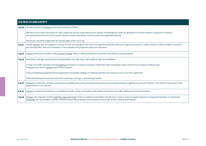| <b>5.6 HEALTH AND SAFETY</b> |                                                                                                                                                                                                                                                                                                        |
|------------------------------|--------------------------------------------------------------------------------------------------------------------------------------------------------------------------------------------------------------------------------------------------------------------------------------------------------|
| 5.6.10                       | All tools used by the workers are in good working condition.                                                                                                                                                                                                                                           |
|                              | Machines have clear instructions on safe usage that can be understood by the workers, and dangerous parts are guarded or encased. Workers using such machines<br>are appropriately trained, and if required by law, workers operating machinery have the applicable licenses.                          |
|                              | Machinery and other equipment are stored safely when not in use.                                                                                                                                                                                                                                       |
| 5.6.11                       | Female workers who are pregnant, nursing, or have recently given birth are not assigned to activities that pose a risk to the woman's, unborn child's, or infant's health. In cases of<br>job reassignment, there is no reduction in remuneration. No pregnancy tests are requested.                   |
| 5.6.12                       | Workers may leave situations with imminent danger without seeking employer's permission and without being penalized.                                                                                                                                                                                   |
| 5.6.13                       | Workshops, storage areas, and processing facilities are safe, clean, with sufficient light and ventilation.                                                                                                                                                                                            |
|                              | A clear and written accident and emergency procedure is in place. It includes marked fire exits, evacuation maps, at least one emergency drill per year.<br>Management informs workers about this procedure.                                                                                           |
|                              | There is firefighting equipment and equipment to remediate spillage of materials. Workers are trained on how to use this equipment.                                                                                                                                                                    |
|                              | Only authorized personnel have access to workshops, storage, or processing facilities.                                                                                                                                                                                                                 |
| 5.6.14                       | Workers in workshops, storage and processing facilities have clean and safe eating spaces that provide protection against sun and rain. Workers in the field can have their meal<br>protected from sun and rain.                                                                                       |
| 5.6.15                       | Workers receive basic training on occupational health, safety, and hygiene and related instructions are visibly displayed at central locations.                                                                                                                                                        |
| 5.6.16                       | Workers who regularly handle hazardous agrochemicals receive a medical examination at least once a year. In case of regular exposure to organophosphates or carbamate<br>pesticides, the examination includes cholinesterase testing. Workers have access to the results of their medical examination. |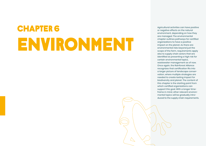# ENVIRONMENT **CHAPTER 6** Agricultural activities can have positive or negative effects on the natural

or negative effects on the natural environment, depending on how they are managed. The environmental chapter outlines pathways for certified organizations to have a positive impact on the planet. As there are environmental risks beyond just the scope of the farm, requirements apply also to supply chain actors that are identified as presenting a high risk for certain environmental topics, wastewater management as of now. Once again, the Rainforest Alliance recognizes that certification fits into a larger picture of landscape conservation, where multiple strategies are needed to create lasting impact for biodiversity and planet. The content of this chapter is the starting point from which certified organizations can support this goal. With a longer timeframe in mind, other relevant environmental topics will be gradually introduced to the supply chain requirements.